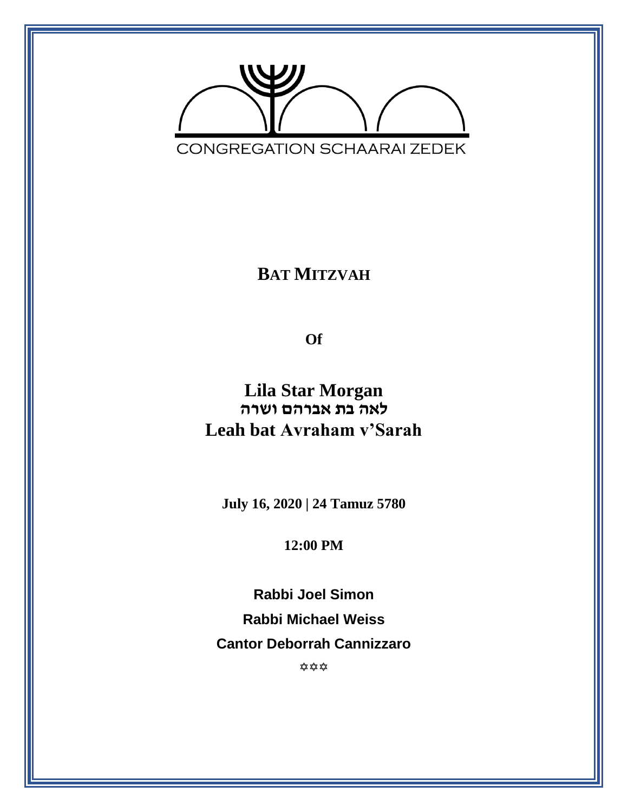

**BAT MITZVAH**

**Of**

**Lila Star Morgan לאה בת אברהם ושרה Leah bat Avraham v'Sarah**

**July 16, 2020 | 24 Tamuz 5780**

**12:00 PM**

**Rabbi Joel Simon Rabbi Michael Weiss Cantor Deborrah Cannizzaro** ✿ ✿ ✿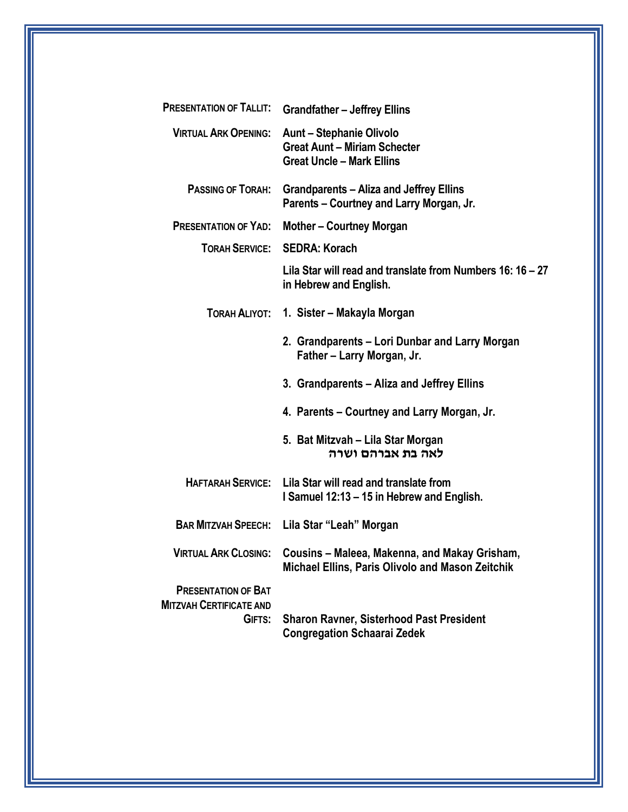| <b>PRESENTATION OF TALLIT:</b>                                         | <b>Grandfather - Jeffrey Ellins</b>                                                                        |
|------------------------------------------------------------------------|------------------------------------------------------------------------------------------------------------|
| <b>VIRTUAL ARK OPENING:</b>                                            | <b>Aunt – Stephanie Olivolo</b><br><b>Great Aunt - Miriam Schecter</b><br><b>Great Uncle - Mark Ellins</b> |
| PASSING OF TORAH:                                                      | <b>Grandparents - Aliza and Jeffrey Ellins</b><br>Parents - Courtney and Larry Morgan, Jr.                 |
| <b>PRESENTATION OF YAD:</b>                                            | <b>Mother-Courtney Morgan</b>                                                                              |
| <b>TORAH SERVICE:</b>                                                  | <b>SEDRA: Korach</b>                                                                                       |
|                                                                        | Lila Star will read and translate from Numbers 16: 16 – 27<br>in Hebrew and English.                       |
| TORAH ALIYOT:                                                          | 1. Sister – Makayla Morgan                                                                                 |
|                                                                        | 2. Grandparents - Lori Dunbar and Larry Morgan<br>Father - Larry Morgan, Jr.                               |
|                                                                        | 3. Grandparents – Aliza and Jeffrey Ellins                                                                 |
|                                                                        | 4. Parents – Courtney and Larry Morgan, Jr.                                                                |
|                                                                        | 5. Bat Mitzvah – Lila Star Morgan<br>לאה בת אברהם ושרה                                                     |
| <b>HAFTARAH SERVICE:</b>                                               | Lila Star will read and translate from<br>I Samuel 12:13 - 15 in Hebrew and English.                       |
| <b>BAR MITZVAH SPEECH:</b>                                             | Lila Star "Leah" Morgan                                                                                    |
| <b>VIRTUAL ARK CLOSING:</b>                                            | Cousins – Maleea, Makenna, and Makay Grisham,<br>Michael Ellins, Paris Olivolo and Mason Zeitchik          |
| <b>PRESENTATION OF BAT</b><br><b>MITZVAH CERTIFICATE AND</b><br>GIFTS: | <b>Sharon Ravner, Sisterhood Past President</b><br><b>Congregation Schaarai Zedek</b>                      |
|                                                                        |                                                                                                            |